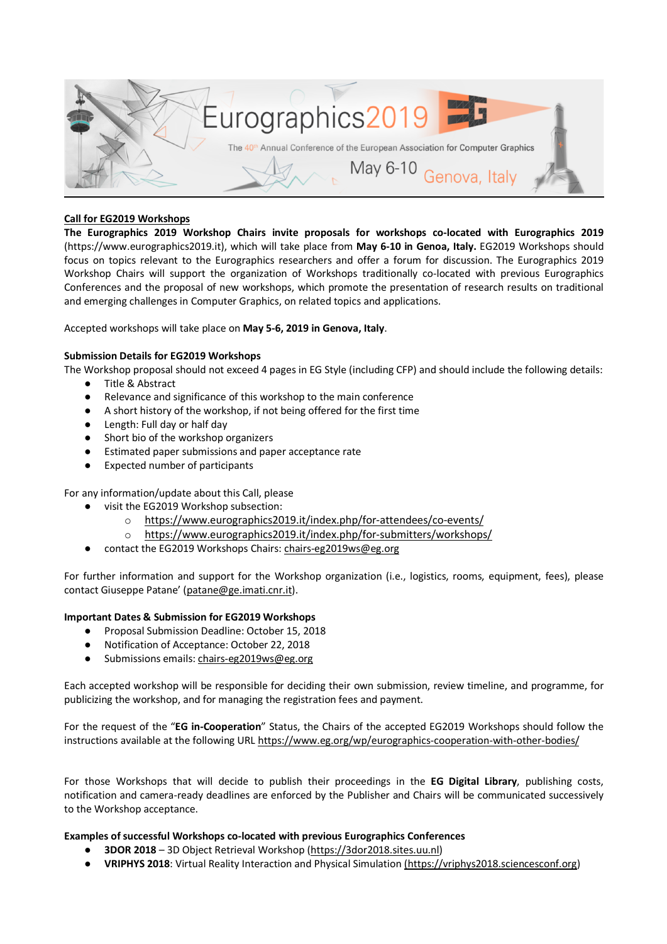

# **Call for EG2019 Workshops**

**The Eurographics 2019 Workshop Chairs invite proposals for workshops co-located with Eurographics 2019** (https://www.eurographics2019.it), which will take place from **May 6-10 in Genoa, Italy.** EG2019 Workshops should focus on topics relevant to the Eurographics researchers and offer a forum for discussion. The Eurographics 2019 Workshop Chairs will support the organization of Workshops traditionally co-located with previous Eurographics Conferences and the proposal of new workshops, which promote the presentation of research results on traditional and emerging challenges in Computer Graphics, on related topics and applications.

Accepted workshops will take place on **May 5-6, 2019 in Genova, Italy**.

### **Submission Details for EG2019 Workshops**

The Workshop proposal should not exceed 4 pages in EG Style (including CFP) and should include the following details:

- Title & Abstract
	- Relevance and significance of this workshop to the main conference
	- A short history of the workshop, if not being offered for the first time
	- Length: Full day or half day
	- Short bio of the workshop organizers
	- Estimated paper submissions and paper acceptance rate
	- Expected number of participants

For any information/update about this Call, please

- visit the EG2019 Workshop subsection:
	- o https://www.eurographics2019.it/index.php/for-attendees/co-events/
	- o https://www.eurographics2019.it/index.php/for-submitters/workshops/
- contact the EG2019 Workshops Chairs: chairs-eg2019ws@eg.org

For further information and support for the Workshop organization (i.e., logistics, rooms, equipment, fees), please contact Giuseppe Patane' (patane@ge.imati.cnr.it).

### **Important Dates & Submission for EG2019 Workshops**

- Proposal Submission Deadline: October 15, 2018
- Notification of Acceptance: October 22, 2018
- Submissions emails: chairs-eg2019ws@eg.org

Each accepted workshop will be responsible for deciding their own submission, review timeline, and programme, for publicizing the workshop, and for managing the registration fees and payment.

For the request of the "**EG in-Cooperation**" Status, the Chairs of the accepted EG2019 Workshops should follow the instructions available at the following URL https://www.eg.org/wp/eurographics-cooperation-with-other-bodies/

For those Workshops that will decide to publish their proceedings in the **EG Digital Library**, publishing costs, notification and camera-ready deadlines are enforced by the Publisher and Chairs will be communicated successively to the Workshop acceptance.

### **Examples of successful Workshops co-located with previous Eurographics Conferences**

- **3DOR 2018**  3D Object Retrieval Workshop (https://3dor2018.sites.uu.nl)
- **VRIPHYS 2018**: Virtual Reality Interaction and Physical Simulation (https://vriphys2018.sciencesconf.org)